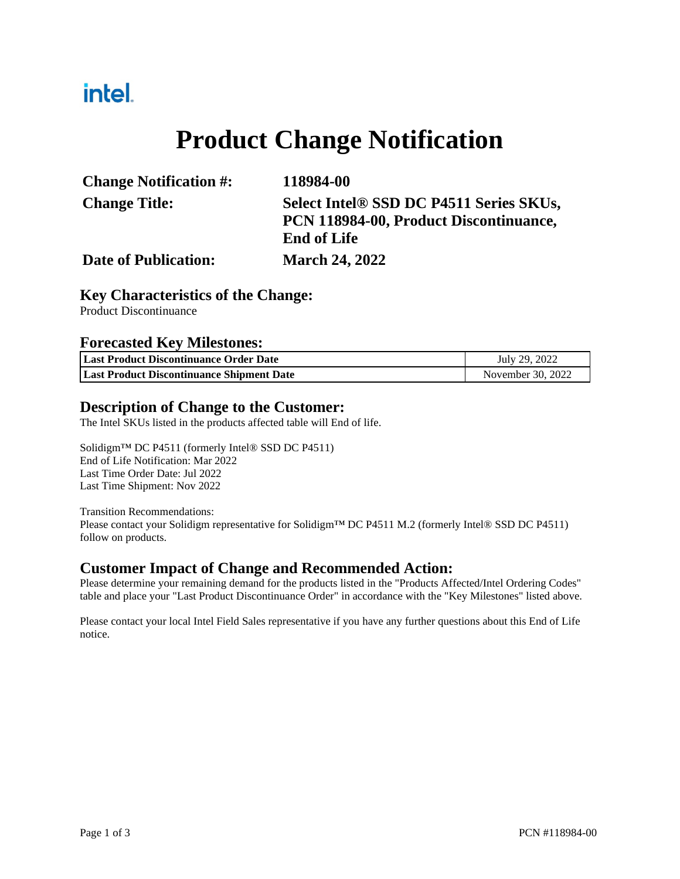## intel.

# **Product Change Notification**

| <b>Change Notification #:</b> | 118984-00                               |
|-------------------------------|-----------------------------------------|
| <b>Change Title:</b>          | Select Intel® SSD DC P4511 Series SKUs, |
|                               | PCN 118984-00, Product Discontinuance,  |
|                               | <b>End of Life</b>                      |
| <b>Date of Publication:</b>   | <b>March 24, 2022</b>                   |

#### **Key Characteristics of the Change:**

Product Discontinuance

#### **Forecasted Key Milestones:**

| Last Product Discontinuance Order Date           | July 29, 2022     |  |
|--------------------------------------------------|-------------------|--|
| <b>Last Product Discontinuance Shipment Date</b> | November 30, 2022 |  |

#### **Description of Change to the Customer:**

The Intel SKUs listed in the products affected table will End of life.

Solidigm™ DC P4511 (formerly Intel® SSD DC P4511) End of Life Notification: Mar 2022 Last Time Order Date: Jul 2022 Last Time Shipment: Nov 2022

#### Transition Recommendations:

Please contact your Solidigm representative for Solidigm™ DC P4511 M.2 (formerly Intel® SSD DC P4511) follow on products.

#### **Customer Impact of Change and Recommended Action:**

Please determine your remaining demand for the products listed in the "Products Affected/Intel Ordering Codes" table and place your "Last Product Discontinuance Order" in accordance with the "Key Milestones" listed above.

Please contact your local Intel Field Sales representative if you have any further questions about this End of Life notice.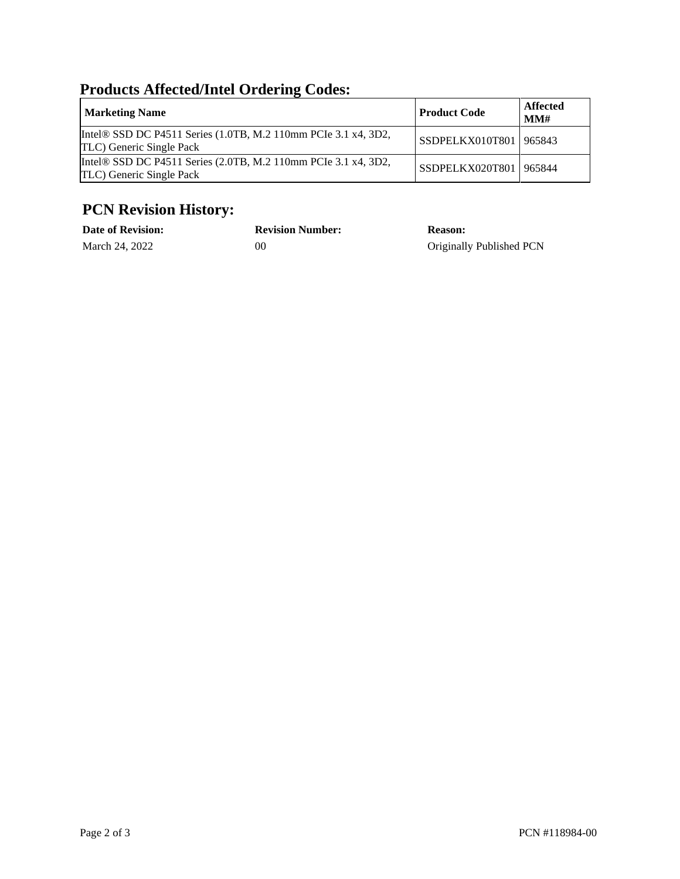### **Products Affected/Intel Ordering Codes:**

| <b>Marketing Name</b>                                                                      | <b>Product Code</b>      | Affected<br>MMH |
|--------------------------------------------------------------------------------------------|--------------------------|-----------------|
| Intel® SSD DC P4511 Series (1.0TB, M.2 110mm PCIe 3.1 x4, 3D2,<br>TLC) Generic Single Pack | SSDPELKX010T801 965843   |                 |
| Intel® SSD DC P4511 Series (2.0TB, M.2 110mm PCIe 3.1 x4, 3D2,<br>TLC) Generic Single Pack | SSDPELKX020T801   965844 |                 |

### **PCN Revision History:**

| <b>Date of Revision:</b> | <b>Revision Number:</b> | <b>Reason:</b>           |
|--------------------------|-------------------------|--------------------------|
| March 24, 2022           | 00                      | Originally Published PCN |